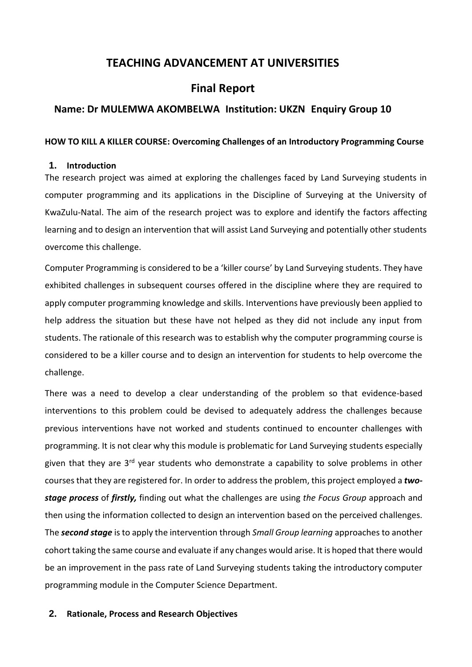# **TEACHING ADVANCEMENT AT UNIVERSITIES**

# **Final Report**

# **Name: Dr MULEMWA AKOMBELWA Institution: UKZN Enquiry Group 10**

# **HOW TO KILL A KILLER COURSE: Overcoming Challenges of an Introductory Programming Course**

### **1. Introduction**

The research project was aimed at exploring the challenges faced by Land Surveying students in computer programming and its applications in the Discipline of Surveying at the University of KwaZulu-Natal. The aim of the research project was to explore and identify the factors affecting learning and to design an intervention that will assist Land Surveying and potentially other students overcome this challenge.

Computer Programming is considered to be a 'killer course' by Land Surveying students. They have exhibited challenges in subsequent courses offered in the discipline where they are required to apply computer programming knowledge and skills. Interventions have previously been applied to help address the situation but these have not helped as they did not include any input from students. The rationale of this research was to establish why the computer programming course is considered to be a killer course and to design an intervention for students to help overcome the challenge.

There was a need to develop a clear understanding of the problem so that evidence-based interventions to this problem could be devised to adequately address the challenges because previous interventions have not worked and students continued to encounter challenges with programming. It is not clear why this module is problematic for Land Surveying students especially given that they are  $3<sup>rd</sup>$  year students who demonstrate a capability to solve problems in other courses that they are registered for. In order to address the problem, this project employed a *twostage process* of *firstly,* finding out what the challenges are using *the Focus Group* approach and then using the information collected to design an intervention based on the perceived challenges. The *second stage* is to apply the intervention through *Small Group learning* approaches to another cohort taking the same course and evaluate if any changes would arise. It is hoped that there would be an improvement in the pass rate of Land Surveying students taking the introductory computer programming module in the Computer Science Department.

#### **2. Rationale, Process and Research Objectives**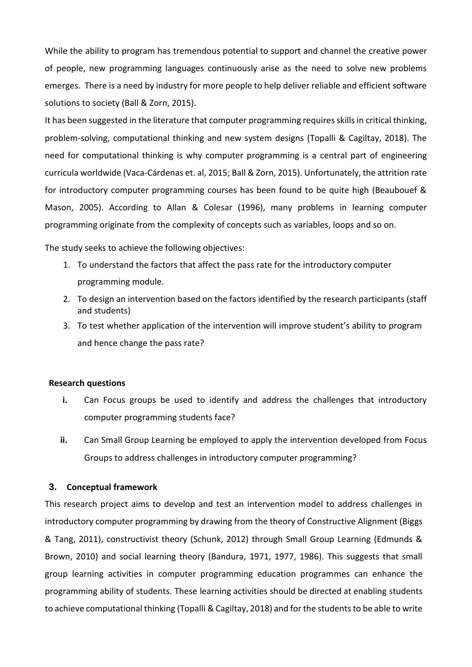While the ability to program has tremendous potential to support and channel the creative power of people, new programming languages continuously arise as the need to solve new problems emerges. There is a need by industry for more people to help deliver reliable and efficient software solutions to society (Ball & Zorn, 2015).

It has been suggested in the literature that computer programming requires skills in critical thinking, problem-solving, computational thinking and new system designs (Topalli & Cagiltay, 2018). The need for computational thinking is why computer programming is a central part of engineering curricula worldwide (Vaca-Cárdenas et. al, 2015; Ball & Zorn, 2015). Unfortunately, the attrition rate for introductory computer programming courses has been found to be quite high (Beaubouef & Mason, 2005). According to Allan & Colesar (1996), many problems in learning computer programming originate from the complexity of concepts such as variables, loops and so on.

The study seeks to achieve the following objectives:

- 1. To understand the factors that affect the pass rate for the introductory computer programming module.
- 2. To design an intervention based on the factors identified by the research participants (staff and students)
- 3. To test whether application of the intervention will improve student's ability to program and hence change the pass rate?

#### **Research questions**

- **i.** Can Focus groups be used to identify and address the challenges that introductory computer programming students face?
- **ii.** Can Small Group Learning be employed to apply the intervention developed from Focus Groups to address challenges in introductory computer programming?

#### **3. Conceptual framework**

This research project aims to develop and test an intervention model to address challenges in introductory computer programming by drawing from the theory of Constructive Alignment (Biggs & Tang, 2011), constructivist theory (Schunk, 2012) through Small Group Learning (Edmunds & Brown, 2010) and social learning theory (Bandura, 1971, 1977, 1986). This suggests that small group learning activities in computer programming education programmes can enhance the programming ability of students. These learning activities should be directed at enabling students to achieve computational thinking (Topalli & Cagiltay, 2018) and for the students to be able to write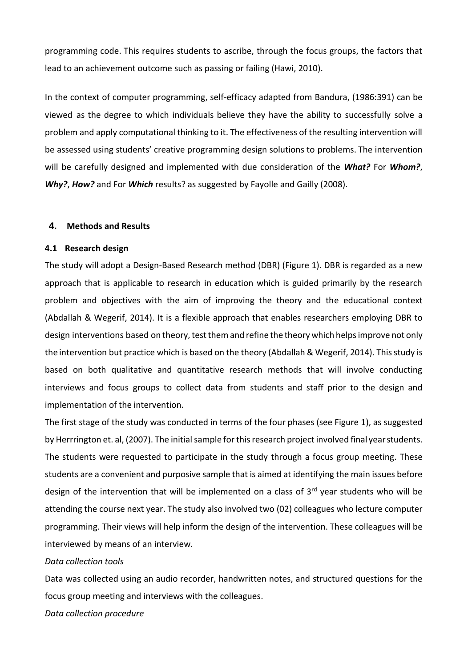programming code. This requires students to ascribe, through the focus groups, the factors that lead to an achievement outcome such as passing or failing (Hawi, 2010).

In the context of computer programming, self-efficacy adapted from Bandura, (1986:391) can be viewed as the degree to which individuals believe they have the ability to successfully solve a problem and apply computational thinking to it. The effectiveness of the resulting intervention will be assessed using students' creative programming design solutions to problems. The intervention will be carefully designed and implemented with due consideration of the *What?* For *Whom?*, *Why?*, *How?* and For *Which* results? as suggested by Fayolle and Gailly (2008).

### **4. Methods and Results**

# **4.1 Research design**

The study will adopt a Design-Based Research method (DBR) (Figure 1). DBR is regarded as a new approach that is applicable to research in education which is guided primarily by the research problem and objectives with the aim of improving the theory and the educational context (Abdallah & Wegerif, 2014). It is a flexible approach that enables researchers employing DBR to design interventions based on theory, test them and refine the theory which helps improve not only the intervention but practice which is based on the theory (Abdallah & Wegerif, 2014). This study is based on both qualitative and quantitative research methods that will involve conducting interviews and focus groups to collect data from students and staff prior to the design and implementation of the intervention.

The first stage of the study was conducted in terms of the four phases (see Figure 1), as suggested by Herrrington et. al, (2007). The initial sample for this research project involved final yearstudents. The students were requested to participate in the study through a focus group meeting. These students are a convenient and purposive sample that is aimed at identifying the main issues before design of the intervention that will be implemented on a class of  $3<sup>rd</sup>$  year students who will be attending the course next year. The study also involved two (02) colleagues who lecture computer programming. Their views will help inform the design of the intervention. These colleagues will be interviewed by means of an interview.

## *Data collection tools*

Data was collected using an audio recorder, handwritten notes, and structured questions for the focus group meeting and interviews with the colleagues.

*Data collection procedure*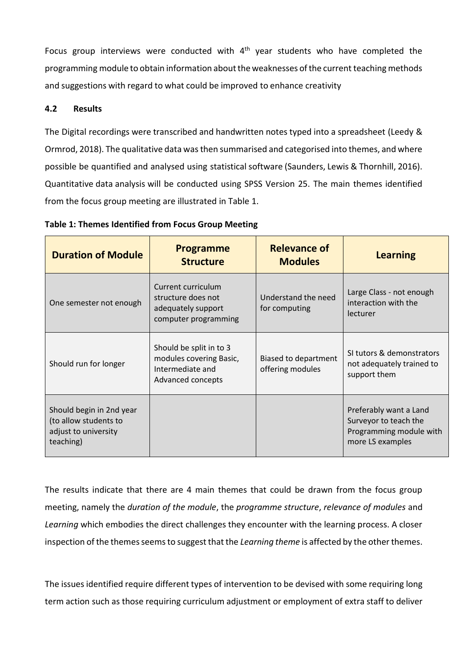Focus group interviews were conducted with 4<sup>th</sup> year students who have completed the programming module to obtain information about the weaknesses of the current teaching methods and suggestions with regard to what could be improved to enhance creativity

# **4.2 Results**

The Digital recordings were transcribed and handwritten notes typed into a spreadsheet (Leedy & Ormrod, 2018). The qualitative data was then summarised and categorised into themes, and where possible be quantified and analysed using statistical software (Saunders, Lewis & Thornhill, 2016). Quantitative data analysis will be conducted using SPSS Version 25. The main themes identified from the focus group meeting are illustrated in Table 1.

| <b>Duration of Module</b>                                                              | <b>Programme</b><br><b>Structure</b>                                                        | <b>Relevance of</b><br><b>Modules</b>           | <b>Learning</b>                                                                                |
|----------------------------------------------------------------------------------------|---------------------------------------------------------------------------------------------|-------------------------------------------------|------------------------------------------------------------------------------------------------|
| One semester not enough                                                                | Current curriculum<br>structure does not<br>adequately support<br>computer programming      | Understand the need<br>for computing            | Large Class - not enough<br>interaction with the<br>lecturer                                   |
| Should run for longer                                                                  | Should be split in to 3<br>modules covering Basic,<br>Intermediate and<br>Advanced concepts | <b>Biased to department</b><br>offering modules | SI tutors & demonstrators<br>not adequately trained to<br>support them                         |
| Should begin in 2nd year<br>(to allow students to<br>adjust to university<br>teaching) |                                                                                             |                                                 | Preferably want a Land<br>Surveyor to teach the<br>Programming module with<br>more LS examples |

**Table 1: Themes Identified from Focus Group Meeting**

The results indicate that there are 4 main themes that could be drawn from the focus group meeting, namely the *duration of the module*, the *programme structure*, *relevance of modules* and *Learning* which embodies the direct challenges they encounter with the learning process. A closer inspection of the themes seems to suggest that the *Learning theme* is affected by the other themes.

The issues identified require different types of intervention to be devised with some requiring long term action such as those requiring curriculum adjustment or employment of extra staff to deliver